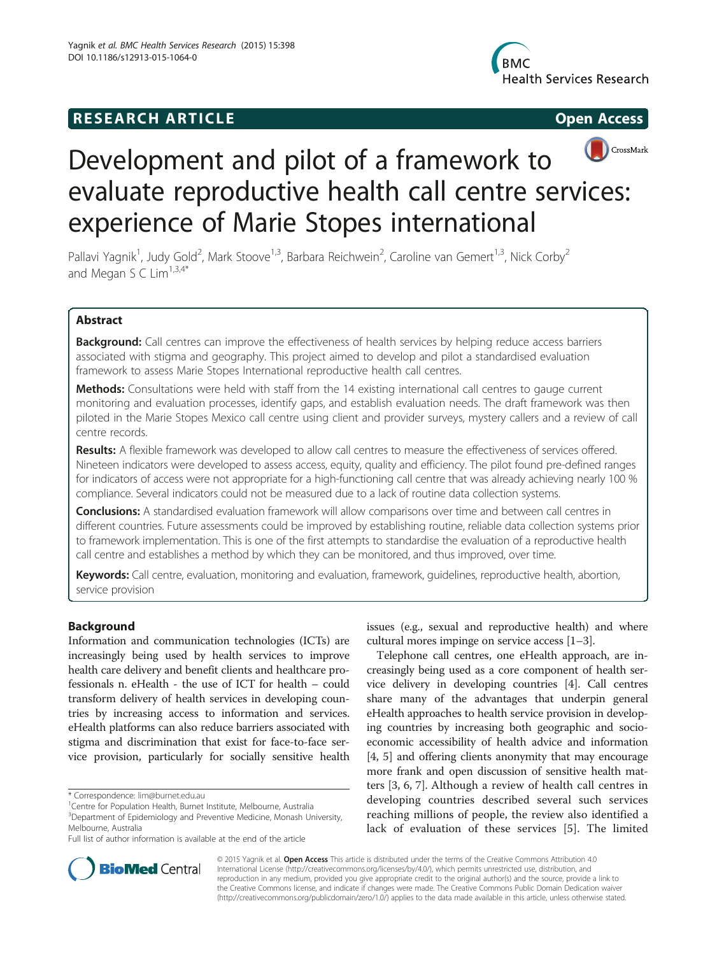# **RESEARCH ARTICLE Example 2014 CONSIDERING CONSIDERING CONSIDERING CONSIDERING CONSIDERING CONSIDERING CONSIDERING CONSIDERING CONSIDERING CONSIDERING CONSIDERING CONSIDERING CONSIDERING CONSIDERING CONSIDERING CONSIDE**





# Development and pilot of a framework to evaluate reproductive health call centre services: experience of Marie Stopes international

Pallavi Yagnik<sup>1</sup>, Judy Gold<sup>2</sup>, Mark Stoove<sup>1,3</sup>, Barbara Reichwein<sup>2</sup>, Caroline van Gemert<sup>1,3</sup>, Nick Corby<sup>2</sup> and Megan S C Lim $1,3,4*$ 

# Abstract

**Background:** Call centres can improve the effectiveness of health services by helping reduce access barriers associated with stigma and geography. This project aimed to develop and pilot a standardised evaluation framework to assess Marie Stopes International reproductive health call centres.

Methods: Consultations were held with staff from the 14 existing international call centres to gauge current monitoring and evaluation processes, identify gaps, and establish evaluation needs. The draft framework was then piloted in the Marie Stopes Mexico call centre using client and provider surveys, mystery callers and a review of call centre records.

Results: A flexible framework was developed to allow call centres to measure the effectiveness of services offered. Nineteen indicators were developed to assess access, equity, quality and efficiency. The pilot found pre-defined ranges for indicators of access were not appropriate for a high-functioning call centre that was already achieving nearly 100 % compliance. Several indicators could not be measured due to a lack of routine data collection systems.

**Conclusions:** A standardised evaluation framework will allow comparisons over time and between call centres in different countries. Future assessments could be improved by establishing routine, reliable data collection systems prior to framework implementation. This is one of the first attempts to standardise the evaluation of a reproductive health call centre and establishes a method by which they can be monitored, and thus improved, over time.

Keywords: Call centre, evaluation, monitoring and evaluation, framework, quidelines, reproductive health, abortion, service provision

# Background

Information and communication technologies (ICTs) are increasingly being used by health services to improve health care delivery and benefit clients and healthcare professionals n. eHealth - the use of ICT for health – could transform delivery of health services in developing countries by increasing access to information and services. eHealth platforms can also reduce barriers associated with stigma and discrimination that exist for face-to-face service provision, particularly for socially sensitive health issues (e.g., sexual and reproductive health) and where cultural mores impinge on service access [[1](#page-7-0)–[3](#page-7-0)].

Telephone call centres, one eHealth approach, are increasingly being used as a core component of health service delivery in developing countries [\[4](#page-7-0)]. Call centres share many of the advantages that underpin general eHealth approaches to health service provision in developing countries by increasing both geographic and socioeconomic accessibility of health advice and information [[4, 5](#page-7-0)] and offering clients anonymity that may encourage more frank and open discussion of sensitive health matters [[3](#page-7-0), [6](#page-7-0), [7](#page-7-0)]. Although a review of health call centres in developing countries described several such services reaching millions of people, the review also identified a lack of evaluation of these services [\[5](#page-7-0)]. The limited



© 2015 Yagnik et al. Open Access This article is distributed under the terms of the Creative Commons Attribution 4.0 International License [\(http://creativecommons.org/licenses/by/4.0/](http://creativecommons.org/licenses/by/4.0/)), which permits unrestricted use, distribution, and reproduction in any medium, provided you give appropriate credit to the original author(s) and the source, provide a link to the Creative Commons license, and indicate if changes were made. The Creative Commons Public Domain Dedication waiver [\(http://creativecommons.org/publicdomain/zero/1.0/](http://creativecommons.org/publicdomain/zero/1.0/)) applies to the data made available in this article, unless otherwise stated.

<sup>\*</sup> Correspondence: [lim@burnet.edu.au](mailto:lim@burnet.edu.au) <sup>1</sup>

Centre for Population Health, Burnet Institute, Melbourne, Australia

<sup>&</sup>lt;sup>3</sup>Department of Epidemiology and Preventive Medicine, Monash University, Melbourne, Australia

Full list of author information is available at the end of the article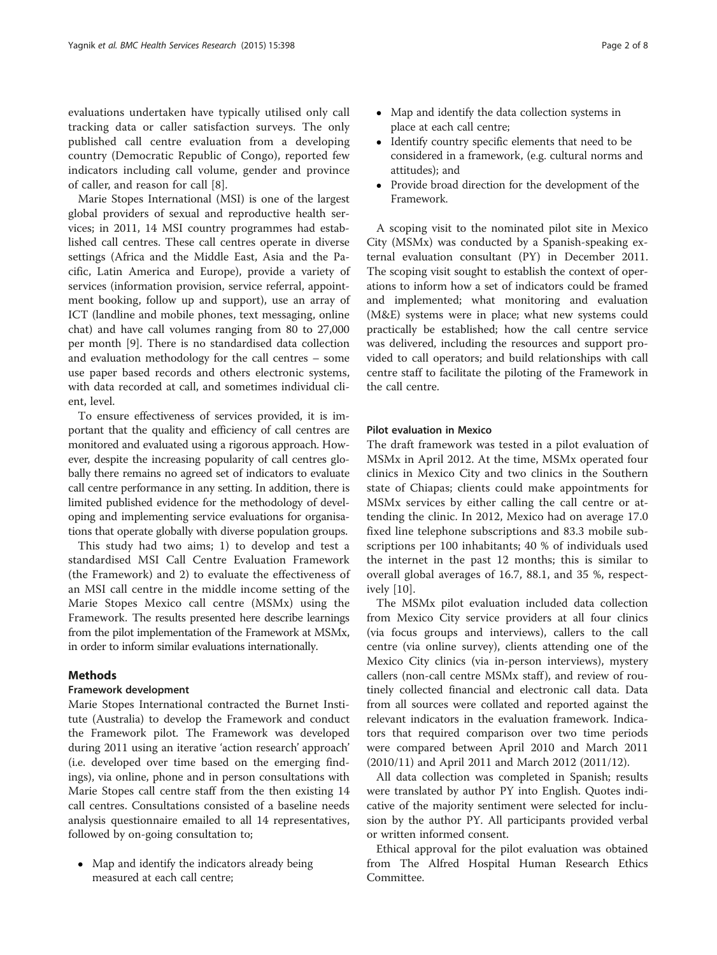evaluations undertaken have typically utilised only call tracking data or caller satisfaction surveys. The only published call centre evaluation from a developing country (Democratic Republic of Congo), reported few indicators including call volume, gender and province of caller, and reason for call [[8\]](#page-7-0).

Marie Stopes International (MSI) is one of the largest global providers of sexual and reproductive health services; in 2011, 14 MSI country programmes had established call centres. These call centres operate in diverse settings (Africa and the Middle East, Asia and the Pacific, Latin America and Europe), provide a variety of services (information provision, service referral, appointment booking, follow up and support), use an array of ICT (landline and mobile phones, text messaging, online chat) and have call volumes ranging from 80 to 27,000 per month [\[9\]](#page-7-0). There is no standardised data collection and evaluation methodology for the call centres – some use paper based records and others electronic systems, with data recorded at call, and sometimes individual client, level.

To ensure effectiveness of services provided, it is important that the quality and efficiency of call centres are monitored and evaluated using a rigorous approach. However, despite the increasing popularity of call centres globally there remains no agreed set of indicators to evaluate call centre performance in any setting. In addition, there is limited published evidence for the methodology of developing and implementing service evaluations for organisations that operate globally with diverse population groups.

This study had two aims; 1) to develop and test a standardised MSI Call Centre Evaluation Framework (the Framework) and 2) to evaluate the effectiveness of an MSI call centre in the middle income setting of the Marie Stopes Mexico call centre (MSMx) using the Framework. The results presented here describe learnings from the pilot implementation of the Framework at MSMx, in order to inform similar evaluations internationally.

# Methods

# Framework development

Marie Stopes International contracted the Burnet Institute (Australia) to develop the Framework and conduct the Framework pilot. The Framework was developed during 2011 using an iterative 'action research' approach' (i.e. developed over time based on the emerging findings), via online, phone and in person consultations with Marie Stopes call centre staff from the then existing 14 call centres. Consultations consisted of a baseline needs analysis questionnaire emailed to all 14 representatives, followed by on-going consultation to;

• Map and identify the indicators already being measured at each call centre;

- Map and identify the data collection systems in place at each call centre;
- Identify country specific elements that need to be considered in a framework, (e.g. cultural norms and attitudes); and
- Provide broad direction for the development of the Framework.

A scoping visit to the nominated pilot site in Mexico City (MSMx) was conducted by a Spanish-speaking external evaluation consultant (PY) in December 2011. The scoping visit sought to establish the context of operations to inform how a set of indicators could be framed and implemented; what monitoring and evaluation (M&E) systems were in place; what new systems could practically be established; how the call centre service was delivered, including the resources and support provided to call operators; and build relationships with call centre staff to facilitate the piloting of the Framework in the call centre.

#### Pilot evaluation in Mexico

The draft framework was tested in a pilot evaluation of MSMx in April 2012. At the time, MSMx operated four clinics in Mexico City and two clinics in the Southern state of Chiapas; clients could make appointments for MSMx services by either calling the call centre or attending the clinic. In 2012, Mexico had on average 17.0 fixed line telephone subscriptions and 83.3 mobile subscriptions per 100 inhabitants; 40 % of individuals used the internet in the past 12 months; this is similar to overall global averages of 16.7, 88.1, and 35 %, respectively [[10\]](#page-7-0).

The MSMx pilot evaluation included data collection from Mexico City service providers at all four clinics (via focus groups and interviews), callers to the call centre (via online survey), clients attending one of the Mexico City clinics (via in-person interviews), mystery callers (non-call centre MSMx staff), and review of routinely collected financial and electronic call data. Data from all sources were collated and reported against the relevant indicators in the evaluation framework. Indicators that required comparison over two time periods were compared between April 2010 and March 2011 (2010/11) and April 2011 and March 2012 (2011/12).

All data collection was completed in Spanish; results were translated by author PY into English. Quotes indicative of the majority sentiment were selected for inclusion by the author PY. All participants provided verbal or written informed consent.

Ethical approval for the pilot evaluation was obtained from The Alfred Hospital Human Research Ethics Committee.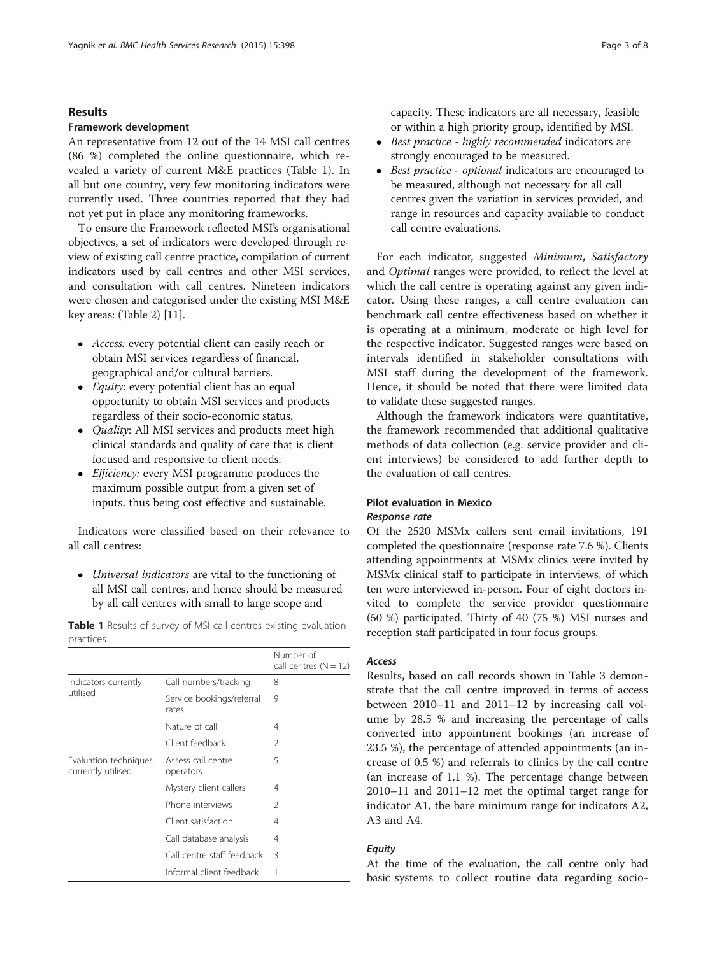#### Results

## Framework development

An representative from 12 out of the 14 MSI call centres (86 %) completed the online questionnaire, which revealed a variety of current M&E practices (Table 1). In all but one country, very few monitoring indicators were currently used. Three countries reported that they had not yet put in place any monitoring frameworks.

To ensure the Framework reflected MSI's organisational objectives, a set of indicators were developed through review of existing call centre practice, compilation of current indicators used by call centres and other MSI services, and consultation with call centres. Nineteen indicators were chosen and categorised under the existing MSI M&E key areas: (Table [2](#page-3-0)) [\[11\]](#page-7-0).

- Access: every potential client can easily reach or obtain MSI services regardless of financial, geographical and/or cultural barriers.
- *Equity*: every potential client has an equal opportunity to obtain MSI services and products regardless of their socio-economic status.
- *Quality*: All MSI services and products meet high clinical standards and quality of care that is client focused and responsive to client needs.
- *Efficiency:* every MSI programme produces the maximum possible output from a given set of inputs, thus being cost effective and sustainable.

Indicators were classified based on their relevance to all call centres:

 Universal indicators are vital to the functioning of all MSI call centres, and hence should be measured by all call centres with small to large scope and

Table 1 Results of survey of MSI call centres existing evaluation practices

|                                             |                                    | Number of<br>call centres $(N = 12)$ |
|---------------------------------------------|------------------------------------|--------------------------------------|
| Indicators currently<br>utilised            | Call numbers/tracking              | 8                                    |
|                                             | Service bookings/referral<br>rates | 9                                    |
|                                             | Nature of call                     | 4                                    |
|                                             | Client feedback                    | 2                                    |
| Evaluation techniques<br>currently utilised | Assess call centre<br>operators    | 5                                    |
|                                             | Mystery client callers             | 4                                    |
|                                             | Phone interviews                   | $\mathcal{P}$                        |
|                                             | Client satisfaction                | 4                                    |
|                                             | Call database analysis             | 4                                    |
|                                             | Call centre staff feedback         | 3                                    |
|                                             | Informal client feedback           |                                      |

capacity. These indicators are all necessary, feasible or within a high priority group, identified by MSI.

- Best practice highly recommended indicators are strongly encouraged to be measured.
- Best practice optional indicators are encouraged to be measured, although not necessary for all call centres given the variation in services provided, and range in resources and capacity available to conduct call centre evaluations.

For each indicator, suggested Minimum, Satisfactory and Optimal ranges were provided, to reflect the level at which the call centre is operating against any given indicator. Using these ranges, a call centre evaluation can benchmark call centre effectiveness based on whether it is operating at a minimum, moderate or high level for the respective indicator. Suggested ranges were based on intervals identified in stakeholder consultations with MSI staff during the development of the framework. Hence, it should be noted that there were limited data to validate these suggested ranges.

Although the framework indicators were quantitative, the framework recommended that additional qualitative methods of data collection (e.g. service provider and client interviews) be considered to add further depth to the evaluation of call centres.

# Pilot evaluation in Mexico

# Response rate

Of the 2520 MSMx callers sent email invitations, 191 completed the questionnaire (response rate 7.6 %). Clients attending appointments at MSMx clinics were invited by MSMx clinical staff to participate in interviews, of which ten were interviewed in-person. Four of eight doctors invited to complete the service provider questionnaire (50 %) participated. Thirty of 40 (75 %) MSI nurses and reception staff participated in four focus groups.

## Access

Results, based on call records shown in Table [3](#page-4-0) demonstrate that the call centre improved in terms of access between 2010–11 and 2011–12 by increasing call volume by 28.5 % and increasing the percentage of calls converted into appointment bookings (an increase of 23.5 %), the percentage of attended appointments (an increase of 0.5 %) and referrals to clinics by the call centre (an increase of 1.1 %). The percentage change between 2010–11 and 2011–12 met the optimal target range for indicator A1, the bare minimum range for indicators A2, A3 and A4.

# **Equity**

At the time of the evaluation, the call centre only had basic systems to collect routine data regarding socio-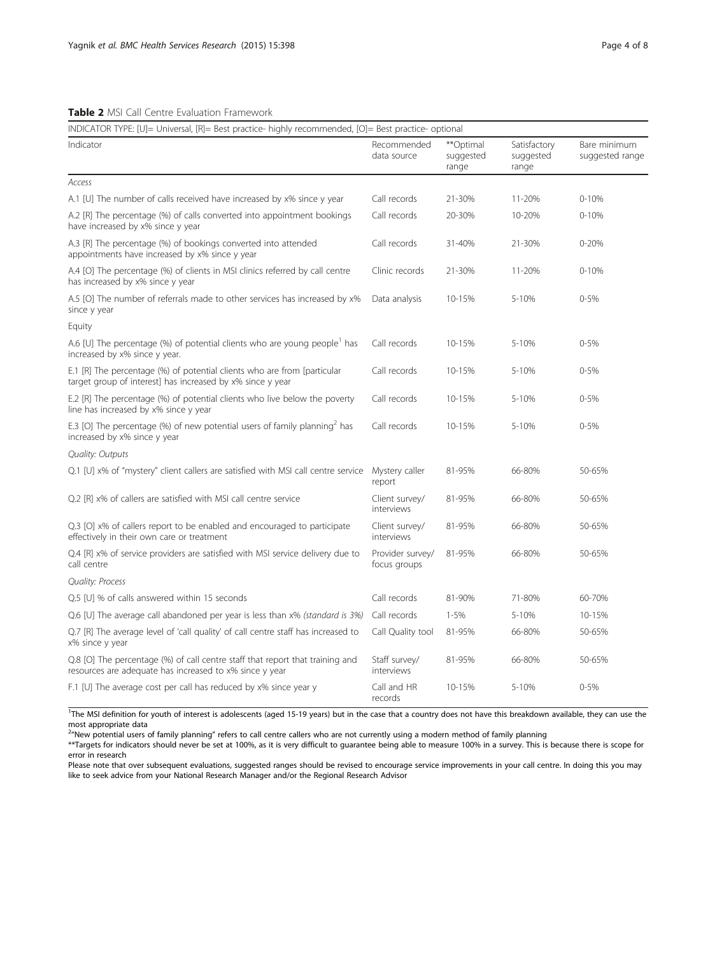<span id="page-3-0"></span>

| INDICATOR TYPE: [U]= Universal, [R]= Best practice- highly recommended, [O]= Best practice- optional                                     |                                  |                                 |                                    |                                 |  |  |  |
|------------------------------------------------------------------------------------------------------------------------------------------|----------------------------------|---------------------------------|------------------------------------|---------------------------------|--|--|--|
| Indicator                                                                                                                                | Recommended<br>data source       | **Optimal<br>suggested<br>range | Satisfactory<br>suggested<br>range | Bare minimum<br>suggested range |  |  |  |
| Access                                                                                                                                   |                                  |                                 |                                    |                                 |  |  |  |
| A.1 [U] The number of calls received have increased by x% since y year                                                                   | Call records                     | 21-30%                          | 11-20%                             | $0 - 10%$                       |  |  |  |
| A.2 [R] The percentage (%) of calls converted into appointment bookings<br>have increased by x% since y year                             | Call records                     | 20-30%                          | 10-20%                             | $0 - 10%$                       |  |  |  |
| A.3 [R] The percentage (%) of bookings converted into attended<br>appointments have increased by x% since y year                         | Call records                     | 31-40%                          | 21-30%                             | $0 - 20%$                       |  |  |  |
| A.4 [O] The percentage (%) of clients in MSI clinics referred by call centre<br>has increased by x% since y year                         | Clinic records                   | 21-30%                          | 11-20%                             | $0 - 10%$                       |  |  |  |
| A.5 [O] The number of referrals made to other services has increased by x%<br>since y year                                               | Data analysis                    | 10-15%                          | 5-10%                              | $0 - 5%$                        |  |  |  |
| Equity                                                                                                                                   |                                  |                                 |                                    |                                 |  |  |  |
| A.6 [U] The percentage (%) of potential clients who are young people has<br>increased by x% since y year.                                | Call records                     | 10-15%                          | 5-10%                              | $0 - 5%$                        |  |  |  |
| E.1 [R] The percentage (%) of potential clients who are from [particular<br>target group of interest] has increased by x% since y year   | Call records                     | 10-15%                          | 5-10%                              | $0 - 5%$                        |  |  |  |
| E.2 [R] The percentage (%) of potential clients who live below the poverty<br>line has increased by x% since y year                      | Call records                     | 10-15%                          | 5-10%                              | $0 - 5%$                        |  |  |  |
| E.3 [O] The percentage (%) of new potential users of family planning <sup>2</sup> has<br>increased by x% since y year                    | Call records                     | 10-15%                          | 5-10%                              | $0 - 5%$                        |  |  |  |
| <b>Quality: Outputs</b>                                                                                                                  |                                  |                                 |                                    |                                 |  |  |  |
| Q.1 [U] x% of "mystery" client callers are satisfied with MSI call centre service Mystery caller                                         | report                           | 81-95%                          | 66-80%                             | 50-65%                          |  |  |  |
| Q.2 [R] x% of callers are satisfied with MSI call centre service                                                                         | Client survey/<br>interviews     | 81-95%                          | 66-80%                             | 50-65%                          |  |  |  |
| Q.3 [O] x% of callers report to be enabled and encouraged to participate<br>effectively in their own care or treatment                   | Client survey/<br>interviews     | 81-95%                          | 66-80%                             | 50-65%                          |  |  |  |
| Q.4 [R] x% of service providers are satisfied with MSI service delivery due to<br>call centre                                            | Provider survey/<br>focus groups | 81-95%                          | 66-80%                             | 50-65%                          |  |  |  |
| Quality: Process                                                                                                                         |                                  |                                 |                                    |                                 |  |  |  |
| Q.5 [U] % of calls answered within 15 seconds                                                                                            | Call records                     | 81-90%                          | 71-80%                             | 60-70%                          |  |  |  |
| Q.6 [U] The average call abandoned per year is less than x% (standard is 3%)                                                             | Call records                     | $1 - 5%$                        | 5-10%                              | 10-15%                          |  |  |  |
| Q.7 [R] The average level of 'call quality' of call centre staff has increased to<br>x% since y year                                     | Call Quality tool                | 81-95%                          | 66-80%                             | 50-65%                          |  |  |  |
| Q.8 [O] The percentage (%) of call centre staff that report that training and<br>resources are adequate has increased to x% since y year | Staff survey/<br>interviews      | 81-95%                          | 66-80%                             | 50-65%                          |  |  |  |
| F.1 [U] The average cost per call has reduced by x% since year y                                                                         | Call and HR<br>records           | 10-15%                          | 5-10%                              | $0 - 5%$                        |  |  |  |

<sup>1</sup>The MSI definition for youth of interest is adolescents (aged 15-19 years) but in the case that a country does not have this breakdown available, they can use the most appropriate data

<sup>2</sup>"New potential users of family planning" refers to call centre callers who are not currently using a modern method of family planning

\*\*Targets for indicators should never be set at 100%, as it is very difficult to guarantee being able to measure 100% in a survey. This is because there is scope for error in research

Please note that over subsequent evaluations, suggested ranges should be revised to encourage service improvements in your call centre. In doing this you may like to seek advice from your National Research Manager and/or the Regional Research Advisor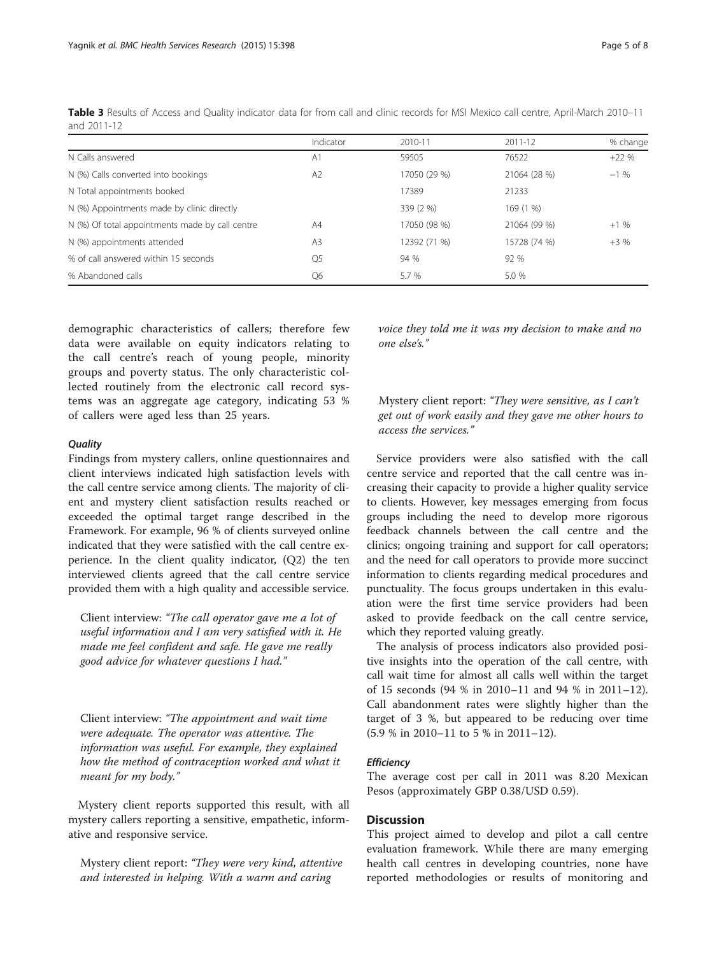|                                                 | Indicator      | 2010-11      | 2011-12      | % change |
|-------------------------------------------------|----------------|--------------|--------------|----------|
| N Calls answered                                | A <sub>1</sub> | 59505        | 76522        | $+22%$   |
| N (%) Calls converted into bookings             | A <sub>2</sub> | 17050 (29 %) | 21064 (28 %) | $-1\%$   |
| N Total appointments booked                     |                | 17389        | 21233        |          |
| N (%) Appointments made by clinic directly      |                | 339 (2 %)    | 169 (1 %)    |          |
| N (%) Of total appointments made by call centre | A4             | 17050 (98 %) | 21064 (99 %) | $+1%$    |
| N (%) appointments attended                     | A <sub>3</sub> | 12392 (71 %) | 15728 (74 %) | $+3%$    |
| % of call answered within 15 seconds            | O <sub>5</sub> | 94 %         | 92 %         |          |
| % Abandoned calls                               | Q6             | 5.7 %        | 5.0 %        |          |

<span id="page-4-0"></span>Table 3 Results of Access and Quality indicator data for from call and clinic records for MSI Mexico call centre, April-March 2010–11 and 2011-12

demographic characteristics of callers; therefore few data were available on equity indicators relating to the call centre's reach of young people, minority groups and poverty status. The only characteristic collected routinely from the electronic call record systems was an aggregate age category, indicating 53 % of callers were aged less than 25 years.

#### **Quality**

Findings from mystery callers, online questionnaires and client interviews indicated high satisfaction levels with the call centre service among clients. The majority of client and mystery client satisfaction results reached or exceeded the optimal target range described in the Framework. For example, 96 % of clients surveyed online indicated that they were satisfied with the call centre experience. In the client quality indicator, (Q2) the ten interviewed clients agreed that the call centre service provided them with a high quality and accessible service.

Client interview: "The call operator gave me a lot of useful information and I am very satisfied with it. He made me feel confident and safe. He gave me really good advice for whatever questions I had."

Client interview: "The appointment and wait time were adequate. The operator was attentive. The information was useful. For example, they explained how the method of contraception worked and what it meant for my body."

Mystery client reports supported this result, with all mystery callers reporting a sensitive, empathetic, informative and responsive service.

Mystery client report: "They were very kind, attentive and interested in helping. With a warm and caring

voice they told me it was my decision to make and no one else's."

Mystery client report: "They were sensitive, as I can't get out of work easily and they gave me other hours to access the services."

Service providers were also satisfied with the call centre service and reported that the call centre was increasing their capacity to provide a higher quality service to clients. However, key messages emerging from focus groups including the need to develop more rigorous feedback channels between the call centre and the clinics; ongoing training and support for call operators; and the need for call operators to provide more succinct information to clients regarding medical procedures and punctuality. The focus groups undertaken in this evaluation were the first time service providers had been asked to provide feedback on the call centre service, which they reported valuing greatly.

The analysis of process indicators also provided positive insights into the operation of the call centre, with call wait time for almost all calls well within the target of 15 seconds (94 % in 2010–11 and 94 % in 2011–12). Call abandonment rates were slightly higher than the target of 3 %, but appeared to be reducing over time (5.9 % in 2010–11 to 5 % in 2011–12).

#### **Efficiency**

The average cost per call in 2011 was 8.20 Mexican Pesos (approximately GBP 0.38/USD 0.59).

# **Discussion**

This project aimed to develop and pilot a call centre evaluation framework. While there are many emerging health call centres in developing countries, none have reported methodologies or results of monitoring and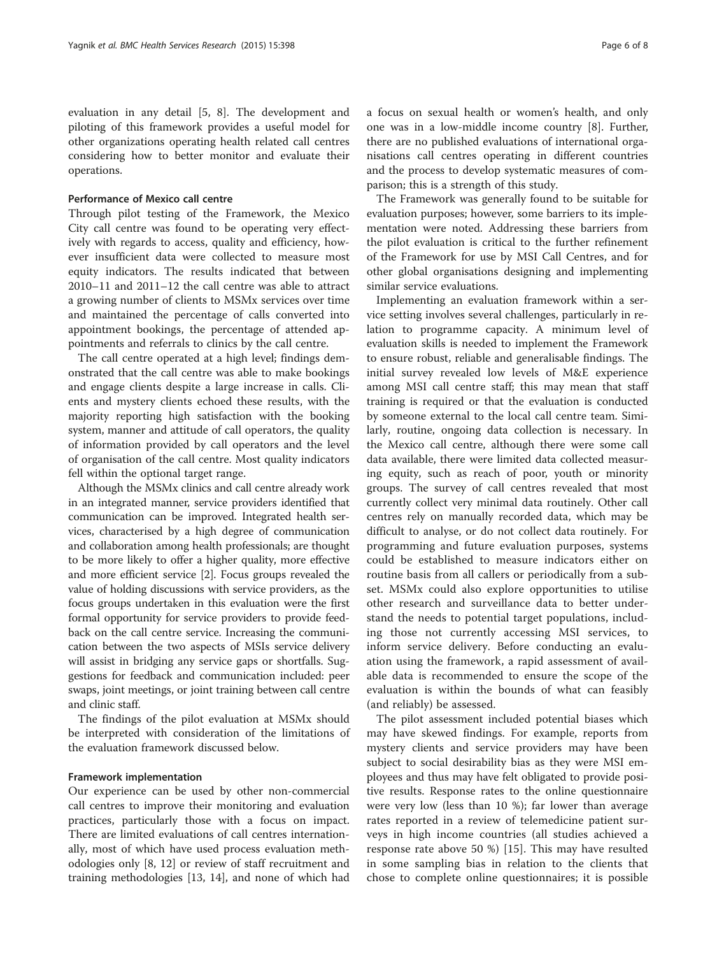evaluation in any detail [[5, 8](#page-7-0)]. The development and piloting of this framework provides a useful model for other organizations operating health related call centres considering how to better monitor and evaluate their operations.

#### Performance of Mexico call centre

Through pilot testing of the Framework, the Mexico City call centre was found to be operating very effectively with regards to access, quality and efficiency, however insufficient data were collected to measure most equity indicators. The results indicated that between 2010–11 and 2011–12 the call centre was able to attract a growing number of clients to MSMx services over time and maintained the percentage of calls converted into appointment bookings, the percentage of attended appointments and referrals to clinics by the call centre.

The call centre operated at a high level; findings demonstrated that the call centre was able to make bookings and engage clients despite a large increase in calls. Clients and mystery clients echoed these results, with the majority reporting high satisfaction with the booking system, manner and attitude of call operators, the quality of information provided by call operators and the level of organisation of the call centre. Most quality indicators fell within the optional target range.

Although the MSMx clinics and call centre already work in an integrated manner, service providers identified that communication can be improved. Integrated health services, characterised by a high degree of communication and collaboration among health professionals; are thought to be more likely to offer a higher quality, more effective and more efficient service [[2](#page-7-0)]. Focus groups revealed the value of holding discussions with service providers, as the focus groups undertaken in this evaluation were the first formal opportunity for service providers to provide feedback on the call centre service. Increasing the communication between the two aspects of MSIs service delivery will assist in bridging any service gaps or shortfalls. Suggestions for feedback and communication included: peer swaps, joint meetings, or joint training between call centre and clinic staff.

The findings of the pilot evaluation at MSMx should be interpreted with consideration of the limitations of the evaluation framework discussed below.

# Framework implementation

Our experience can be used by other non-commercial call centres to improve their monitoring and evaluation practices, particularly those with a focus on impact. There are limited evaluations of call centres internationally, most of which have used process evaluation methodologies only [[8, 12](#page-7-0)] or review of staff recruitment and training methodologies [[13, 14](#page-7-0)], and none of which had a focus on sexual health or women's health, and only one was in a low-middle income country [\[8](#page-7-0)]. Further, there are no published evaluations of international organisations call centres operating in different countries and the process to develop systematic measures of comparison; this is a strength of this study.

The Framework was generally found to be suitable for evaluation purposes; however, some barriers to its implementation were noted. Addressing these barriers from the pilot evaluation is critical to the further refinement of the Framework for use by MSI Call Centres, and for other global organisations designing and implementing similar service evaluations.

Implementing an evaluation framework within a service setting involves several challenges, particularly in relation to programme capacity. A minimum level of evaluation skills is needed to implement the Framework to ensure robust, reliable and generalisable findings. The initial survey revealed low levels of M&E experience among MSI call centre staff; this may mean that staff training is required or that the evaluation is conducted by someone external to the local call centre team. Similarly, routine, ongoing data collection is necessary. In the Mexico call centre, although there were some call data available, there were limited data collected measuring equity, such as reach of poor, youth or minority groups. The survey of call centres revealed that most currently collect very minimal data routinely. Other call centres rely on manually recorded data, which may be difficult to analyse, or do not collect data routinely. For programming and future evaluation purposes, systems could be established to measure indicators either on routine basis from all callers or periodically from a subset. MSMx could also explore opportunities to utilise other research and surveillance data to better understand the needs to potential target populations, including those not currently accessing MSI services, to inform service delivery. Before conducting an evaluation using the framework, a rapid assessment of available data is recommended to ensure the scope of the evaluation is within the bounds of what can feasibly (and reliably) be assessed.

The pilot assessment included potential biases which may have skewed findings. For example, reports from mystery clients and service providers may have been subject to social desirability bias as they were MSI employees and thus may have felt obligated to provide positive results. Response rates to the online questionnaire were very low (less than 10 %); far lower than average rates reported in a review of telemedicine patient surveys in high income countries (all studies achieved a response rate above 50 %) [[15\]](#page-7-0). This may have resulted in some sampling bias in relation to the clients that chose to complete online questionnaires; it is possible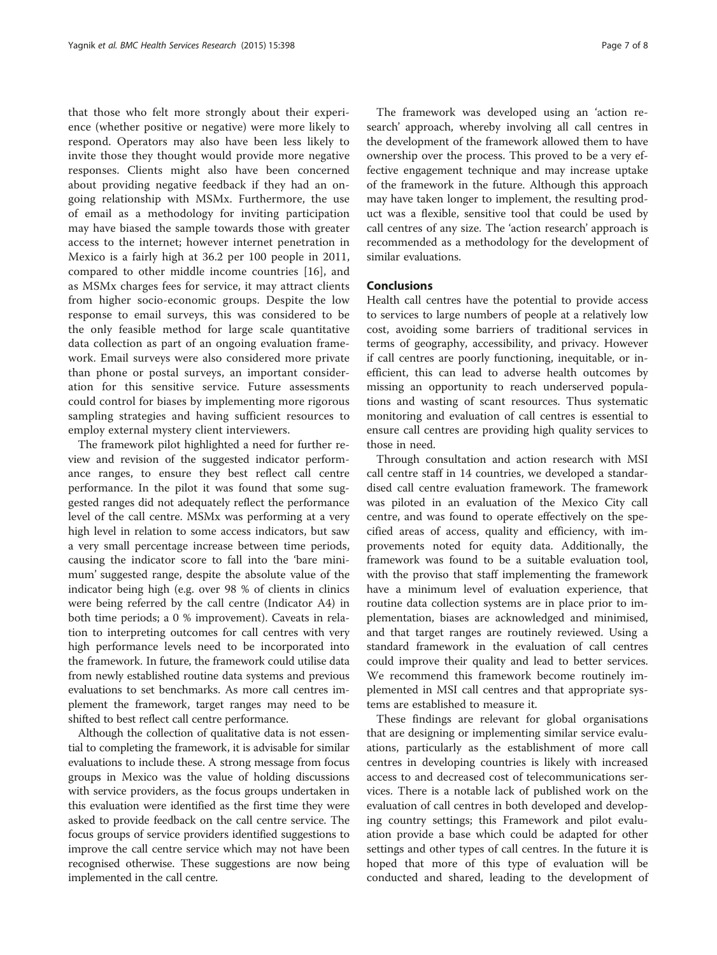that those who felt more strongly about their experience (whether positive or negative) were more likely to respond. Operators may also have been less likely to invite those they thought would provide more negative responses. Clients might also have been concerned about providing negative feedback if they had an ongoing relationship with MSMx. Furthermore, the use of email as a methodology for inviting participation may have biased the sample towards those with greater access to the internet; however internet penetration in Mexico is a fairly high at 36.2 per 100 people in 2011, compared to other middle income countries [[16\]](#page-7-0), and as MSMx charges fees for service, it may attract clients from higher socio-economic groups. Despite the low response to email surveys, this was considered to be the only feasible method for large scale quantitative data collection as part of an ongoing evaluation framework. Email surveys were also considered more private than phone or postal surveys, an important consideration for this sensitive service. Future assessments could control for biases by implementing more rigorous sampling strategies and having sufficient resources to employ external mystery client interviewers.

The framework pilot highlighted a need for further review and revision of the suggested indicator performance ranges, to ensure they best reflect call centre performance. In the pilot it was found that some suggested ranges did not adequately reflect the performance level of the call centre. MSMx was performing at a very high level in relation to some access indicators, but saw a very small percentage increase between time periods, causing the indicator score to fall into the 'bare minimum' suggested range, despite the absolute value of the indicator being high (e.g. over 98 % of clients in clinics were being referred by the call centre (Indicator A4) in both time periods; a 0 % improvement). Caveats in relation to interpreting outcomes for call centres with very high performance levels need to be incorporated into the framework. In future, the framework could utilise data from newly established routine data systems and previous evaluations to set benchmarks. As more call centres implement the framework, target ranges may need to be shifted to best reflect call centre performance.

Although the collection of qualitative data is not essential to completing the framework, it is advisable for similar evaluations to include these. A strong message from focus groups in Mexico was the value of holding discussions with service providers, as the focus groups undertaken in this evaluation were identified as the first time they were asked to provide feedback on the call centre service. The focus groups of service providers identified suggestions to improve the call centre service which may not have been recognised otherwise. These suggestions are now being implemented in the call centre.

The framework was developed using an 'action research' approach, whereby involving all call centres in the development of the framework allowed them to have ownership over the process. This proved to be a very effective engagement technique and may increase uptake of the framework in the future. Although this approach may have taken longer to implement, the resulting product was a flexible, sensitive tool that could be used by call centres of any size. The 'action research' approach is recommended as a methodology for the development of similar evaluations.

# Conclusions

Health call centres have the potential to provide access to services to large numbers of people at a relatively low cost, avoiding some barriers of traditional services in terms of geography, accessibility, and privacy. However if call centres are poorly functioning, inequitable, or inefficient, this can lead to adverse health outcomes by missing an opportunity to reach underserved populations and wasting of scant resources. Thus systematic monitoring and evaluation of call centres is essential to ensure call centres are providing high quality services to those in need.

Through consultation and action research with MSI call centre staff in 14 countries, we developed a standardised call centre evaluation framework. The framework was piloted in an evaluation of the Mexico City call centre, and was found to operate effectively on the specified areas of access, quality and efficiency, with improvements noted for equity data. Additionally, the framework was found to be a suitable evaluation tool, with the proviso that staff implementing the framework have a minimum level of evaluation experience, that routine data collection systems are in place prior to implementation, biases are acknowledged and minimised, and that target ranges are routinely reviewed. Using a standard framework in the evaluation of call centres could improve their quality and lead to better services. We recommend this framework become routinely implemented in MSI call centres and that appropriate systems are established to measure it.

These findings are relevant for global organisations that are designing or implementing similar service evaluations, particularly as the establishment of more call centres in developing countries is likely with increased access to and decreased cost of telecommunications services. There is a notable lack of published work on the evaluation of call centres in both developed and developing country settings; this Framework and pilot evaluation provide a base which could be adapted for other settings and other types of call centres. In the future it is hoped that more of this type of evaluation will be conducted and shared, leading to the development of